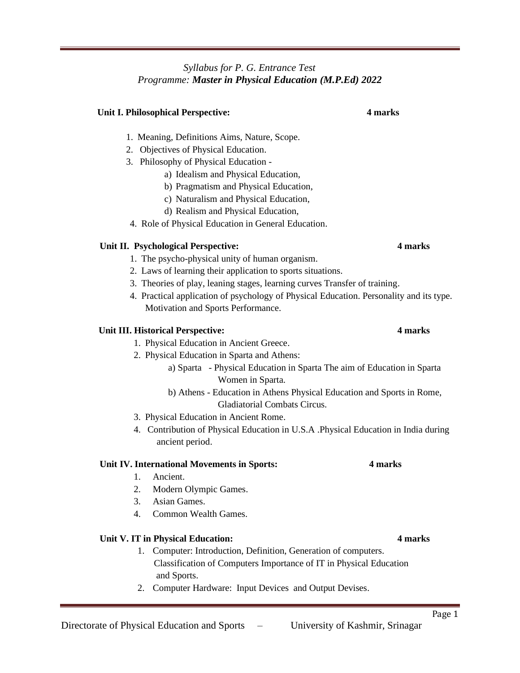### *Syllabus for P. G. Entrance Test Programme: Master in Physical Education (M.P.Ed) 2022*

# **Unit I. Philosophical Perspective: 4 marks**

- 1. Meaning, Definitions Aims, Nature, Scope.
- 2. Objectives of Physical Education.
- 3. Philosophy of Physical Education
	- a) Idealism and Physical Education,
		- b) Pragmatism and Physical Education,
		- c) Naturalism and Physical Education,
		- d) Realism and Physical Education,
- 4. Role of Physical Education in General Education.

### **Unit II. Psychological Perspective: 4 marks**

- 1. The psycho-physical unity of human organism.
- 2. Laws of learning their application to sports situations.
- 3. Theories of play, leaning stages, learning curves Transfer of training.
- 4. Practical application of psychology of Physical Education. Personality and its type. Motivation and Sports Performance.

### **Unit III. Historical Perspective: 4 marks**

- 1. Physical Education in Ancient Greece.
- 2. Physical Education in Sparta and Athens:
	- a) Sparta Physical Education in Sparta The aim of Education in Sparta Women in Sparta.
	- b) Athens Education in Athens Physical Education and Sports in Rome, Gladiatorial Combats Circus.
- 3. Physical Education in Ancient Rome.
- 4. Contribution of Physical Education in U.S.A .Physical Education in India during ancient period.

### **Unit IV. International Movements in Sports: 4 marks**

- 1. Ancient.
- 2. Modern Olympic Games.
- 3. Asian Games.
- 4. Common Wealth Games.

### **Unit V. IT in Physical Education: 4 marks**

- 1. Computer: Introduction, Definition, Generation of computers. Classification of Computers Importance of IT in Physical Education and Sports.
- 2. Computer Hardware: Input Devices and Output Devises.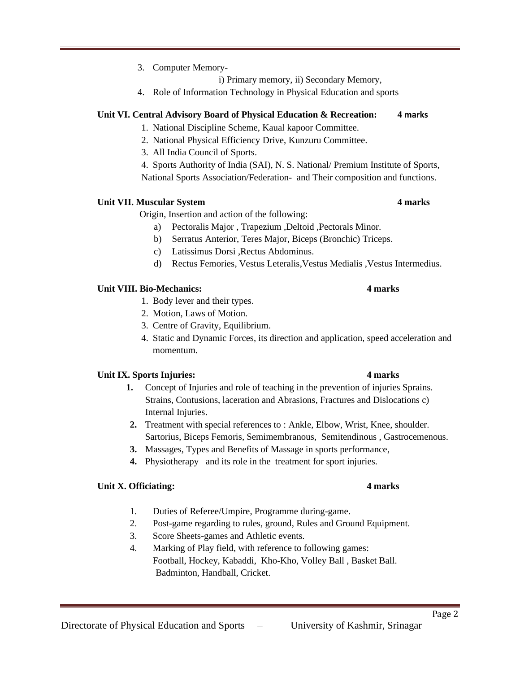### 3. Computer Memory-

i) Primary memory, ii) Secondary Memory,

4. Role of Information Technology in Physical Education and sports

### **Unit VI. Central Advisory Board of Physical Education & Recreation: 4 marks**

- 1. National Discipline Scheme, Kaual kapoor Committee.
- 2. National Physical Efficiency Drive, Kunzuru Committee.
- 3. All India Council of Sports.

4. Sports Authority of India (SAI), N. S. National/ Premium Institute of Sports, National Sports Association/Federation- and Their composition and functions.

### **Unit VII. Muscular System 4 marks**

Origin, Insertion and action of the following:

- a) Pectoralis Major , Trapezium ,Deltoid ,Pectorals Minor.
- b) Serratus Anterior, Teres Major, Biceps (Bronchic) Triceps.
- c) Latissimus Dorsi ,Rectus Abdominus.
- d) Rectus Femories, Vestus Leteralis,Vestus Medialis ,Vestus Intermedius.

## **Unit VIII. Bio-Mechanics: 4 marks**

- 1. Body lever and their types.
- 2. Motion, Laws of Motion.
- 3. Centre of Gravity, Equilibrium.
- 4. Static and Dynamic Forces, its direction and application, speed acceleration and momentum.

## **Unit IX. Sports Injuries: 4 marks**

- **1.** Concept of Injuries and role of teaching in the prevention of injuries Sprains. Strains, Contusions, laceration and Abrasions, Fractures and Dislocations c) Internal Injuries.
- **2.** Treatment with special references to : Ankle, Elbow, Wrist, Knee, shoulder. Sartorius, Biceps Femoris, Semimembranous, Semitendinous , Gastrocemenous.
- **3.** Massages, Types and Benefits of Massage in sports performance,
- **4.** Physiotherapy and its role in the treatment for sport injuries.

## **Unit X. Officiating: 4 marks**

- 1. Duties of Referee/Umpire, Programme during-game.
- 2. Post-game regarding to rules, ground, Rules and Ground Equipment.
- 3. Score Sheets-games and Athletic events.
- 4. Marking of Play field, with reference to following games: Football, Hockey, Kabaddi, Kho-Kho, Volley Ball , Basket Ball. Badminton, Handball, Cricket.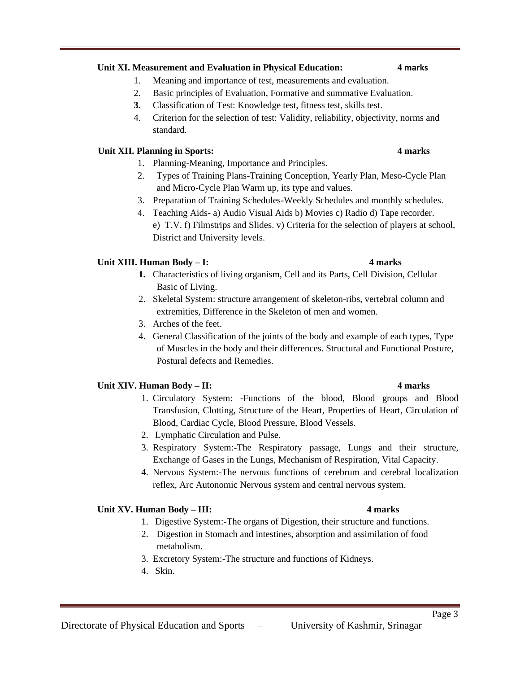# **Unit XI. Measurement and Evaluation in Physical Education: 4 marks**

- 1. Meaning and importance of test, measurements and evaluation.
- 2. Basic principles of Evaluation, Formative and summative Evaluation.
- **3.** Classification of Test: Knowledge test, fitness test, skills test.
- 4. Criterion for the selection of test: Validity, reliability, objectivity, norms and standard.

# **Unit XII. Planning in Sports: 4 marks**

- 1. Planning-Meaning, Importance and Principles.
- 2. Types of Training Plans-Training Conception, Yearly Plan, Meso-Cycle Plan and Micro-Cycle Plan Warm up, its type and values.
- 3. Preparation of Training Schedules-Weekly Schedules and monthly schedules.
- 4. Teaching Aids- a) Audio Visual Aids b) Movies c) Radio d) Tape recorder. e) T.V. f) Filmstrips and Slides. v) Criteria for the selection of players at school, District and University levels.

# **Unit XIII. Human Body – I: 4 marks**

- **1.** Characteristics of living organism, Cell and its Parts, Cell Division, Cellular Basic of Living.
- 2. Skeletal System: structure arrangement of skeleton-ribs, vertebral column and extremities, Difference in the Skeleton of men and women.
- 3. Arches of the feet.
- 4. General Classification of the joints of the body and example of each types, Type of Muscles in the body and their differences. Structural and Functional Posture, Postural defects and Remedies.

## **Unit XIV. Human Body – II: 4 marks**

- 1. Circulatory System: -Functions of the blood, Blood groups and Blood Transfusion, Clotting, Structure of the Heart, Properties of Heart, Circulation of Blood, Cardiac Cycle, Blood Pressure, Blood Vessels.
- 2. Lymphatic Circulation and Pulse.
- 3. Respiratory System:-The Respiratory passage, Lungs and their structure, Exchange of Gases in the Lungs, Mechanism of Respiration, Vital Capacity.
- 4. Nervous System:-The nervous functions of cerebrum and cerebral localization reflex, Arc Autonomic Nervous system and central nervous system.

## **Unit XV. Human Body – III: 4 marks**

- 1. Digestive System:-The organs of Digestion, their structure and functions.
- 2. Digestion in Stomach and intestines, absorption and assimilation of food metabolism.
- 3. Excretory System:-The structure and functions of Kidneys.
- 4. Skin.